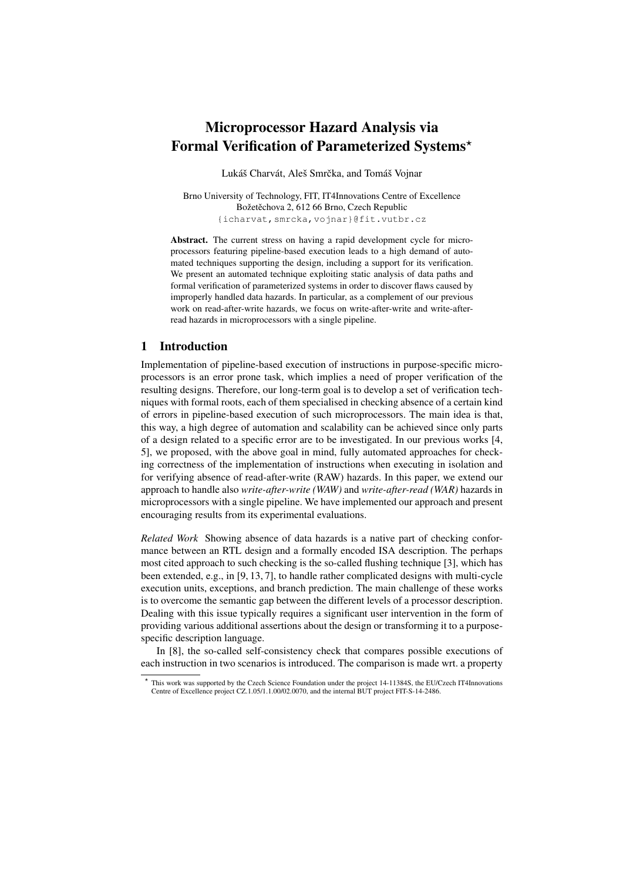# Microprocessor Hazard Analysis via Formal Verification of Parameterized Systems?

Lukáš Charvát, Aleš Smrčka, and Tomáš Vojnar

Brno University of Technology, FIT, IT4Innovations Centre of Excellence Božetěchova 2, 612 66 Brno, Czech Republic {icharvat,smrcka,vojnar}@fit.vutbr.cz

Abstract. The current stress on having a rapid development cycle for microprocessors featuring pipeline-based execution leads to a high demand of automated techniques supporting the design, including a support for its verification. We present an automated technique exploiting static analysis of data paths and formal verification of parameterized systems in order to discover flaws caused by improperly handled data hazards. In particular, as a complement of our previous work on read-after-write hazards, we focus on write-after-write and write-afterread hazards in microprocessors with a single pipeline.

# 1 Introduction

Implementation of pipeline-based execution of instructions in purpose-specific microprocessors is an error prone task, which implies a need of proper verification of the resulting designs. Therefore, our long-term goal is to develop a set of verification techniques with formal roots, each of them specialised in checking absence of a certain kind of errors in pipeline-based execution of such microprocessors. The main idea is that, this way, a high degree of automation and scalability can be achieved since only parts of a design related to a specific error are to be investigated. In our previous works [4, 5], we proposed, with the above goal in mind, fully automated approaches for checking correctness of the implementation of instructions when executing in isolation and for verifying absence of read-after-write (RAW) hazards. In this paper, we extend our approach to handle also *write-after-write (WAW)* and *write-after-read (WAR)* hazards in microprocessors with a single pipeline. We have implemented our approach and present encouraging results from its experimental evaluations.

*Related Work* Showing absence of data hazards is a native part of checking conformance between an RTL design and a formally encoded ISA description. The perhaps most cited approach to such checking is the so-called flushing technique [3], which has been extended, e.g., in [9, 13, 7], to handle rather complicated designs with multi-cycle execution units, exceptions, and branch prediction. The main challenge of these works is to overcome the semantic gap between the different levels of a processor description. Dealing with this issue typically requires a significant user intervention in the form of providing various additional assertions about the design or transforming it to a purposespecific description language.

In [8], the so-called self-consistency check that compares possible executions of each instruction in two scenarios is introduced. The comparison is made wrt. a property

<sup>?</sup> This work was supported by the Czech Science Foundation under the project 14-11384S, the EU/Czech IT4Innovations Centre of Excellence project CZ.1.05/1.1.00/02.0070, and the internal BUT project FIT-S-14-2486.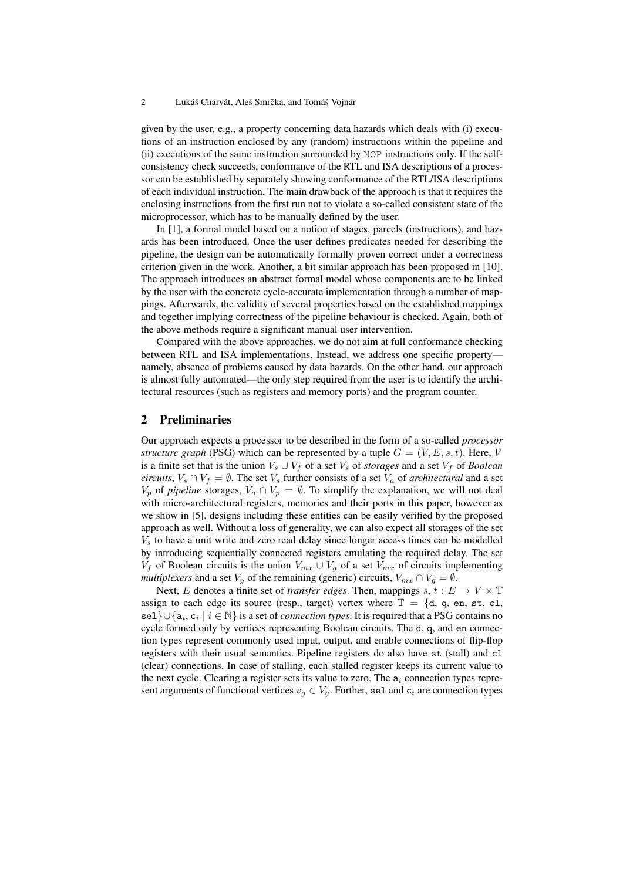given by the user, e.g., a property concerning data hazards which deals with (i) executions of an instruction enclosed by any (random) instructions within the pipeline and (ii) executions of the same instruction surrounded by NOP instructions only. If the selfconsistency check succeeds, conformance of the RTL and ISA descriptions of a processor can be established by separately showing conformance of the RTL/ISA descriptions of each individual instruction. The main drawback of the approach is that it requires the enclosing instructions from the first run not to violate a so-called consistent state of the microprocessor, which has to be manually defined by the user.

In [1], a formal model based on a notion of stages, parcels (instructions), and hazards has been introduced. Once the user defines predicates needed for describing the pipeline, the design can be automatically formally proven correct under a correctness criterion given in the work. Another, a bit similar approach has been proposed in [10]. The approach introduces an abstract formal model whose components are to be linked by the user with the concrete cycle-accurate implementation through a number of mappings. Afterwards, the validity of several properties based on the established mappings and together implying correctness of the pipeline behaviour is checked. Again, both of the above methods require a significant manual user intervention.

Compared with the above approaches, we do not aim at full conformance checking between RTL and ISA implementations. Instead, we address one specific property namely, absence of problems caused by data hazards. On the other hand, our approach is almost fully automated—the only step required from the user is to identify the architectural resources (such as registers and memory ports) and the program counter.

### 2 Preliminaries

Our approach expects a processor to be described in the form of a so-called *processor structure graph* (PSG) which can be represented by a tuple  $G = (V, E, s, t)$ . Here, V is a finite set that is the union  $V_s \cup V_f$  of a set  $V_s$  of *storages* and a set  $V_f$  of *Boolean circuits*,  $V_s \cap V_f = \emptyset$ . The set  $V_s$  further consists of a set  $V_a$  of *architectural* and a set  $V_p$  of *pipeline* storages,  $V_a \cap V_p = \emptyset$ . To simplify the explanation, we will not deal with micro-architectural registers, memories and their ports in this paper, however as we show in [5], designs including these entities can be easily verified by the proposed approach as well. Without a loss of generality, we can also expect all storages of the set  $V<sub>s</sub>$  to have a unit write and zero read delay since longer access times can be modelled by introducing sequentially connected registers emulating the required delay. The set  $V_f$  of Boolean circuits is the union  $V_{mx} \cup V_q$  of a set  $V_{mx}$  of circuits implementing *multiplexers* and a set  $V_q$  of the remaining (generic) circuits,  $V_{mx} \cap V_q = \emptyset$ .

Next, E denotes a finite set of *transfer edges*. Then, mappings  $s, t : E \to V \times T$ assign to each edge its source (resp., target) vertex where  $\mathbb{T} = \{d, q, en, st, cl,$ sel }∪{a<sub>i</sub>, c<sub>i</sub> | i ∈ N} is a set of *connection types*. It is required that a PSG contains no cycle formed only by vertices representing Boolean circuits. The d, q, and en connection types represent commonly used input, output, and enable connections of flip-flop registers with their usual semantics. Pipeline registers do also have st (stall) and cl (clear) connections. In case of stalling, each stalled register keeps its current value to the next cycle. Clearing a register sets its value to zero. The  $a_i$  connection types represent arguments of functional vertices  $v_q \in V_q$ . Further, sel and  $c_i$  are connection types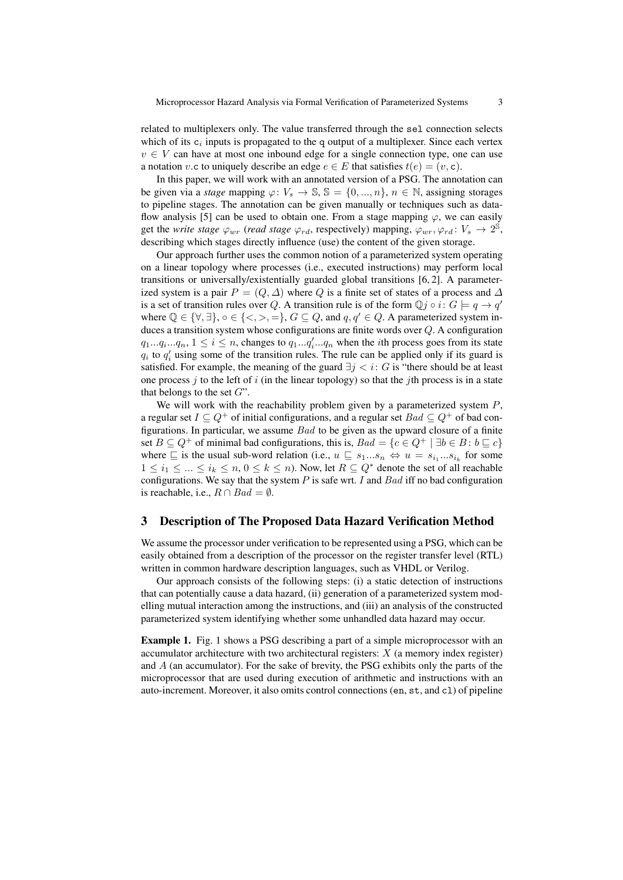related to multiplexers only. The value transferred through the sel connection selects which of its  $c_i$  inputs is propagated to the q output of a multiplexer. Since each vertex  $v \in V$  can have at most one inbound edge for a single connection type, one can use a notation v.c to uniquely describe an edge  $e \in E$  that satisfies  $t(e) = (v, c)$ .

In this paper, we will work with an annotated version of a PSG. The annotation can be given via a *stage* mapping  $\varphi: V_s \to \mathbb{S}, \mathbb{S} = \{0, ..., n\}, n \in \mathbb{N}$ , assigning storages to pipeline stages. The annotation can be given manually or techniques such as dataflow analysis [5] can be used to obtain one. From a stage mapping  $\varphi$ , we can easily get the *write stage*  $\varphi_{wr}$  (*read stage*  $\varphi_{rd}$ , respectively) mapping,  $\varphi_{wr}, \varphi_{rd} : V_s \to 2^{\tilde{S}}$ , describing which stages directly influence (use) the content of the given storage.

Our approach further uses the common notion of a parameterized system operating on a linear topology where processes (i.e., executed instructions) may perform local transitions or universally/existentially guarded global transitions [6, 2]. A parameterized system is a pair  $P = (Q, \Delta)$  where Q is a finite set of states of a process and  $\Delta$ is a set of transition rules over Q. A transition rule is of the form  $\mathbb{Q}j \circ i: G \models q \rightarrow q'$ where  $\mathbb{Q} \in \{ \forall, \exists \}, o \in \{ \langle \rangle, \rangle, = \}$ ,  $G \subseteq Q$ , and  $q, q' \in Q$ . A parameterized system induces a transition system whose configurations are finite words over Q. A configuration  $q_1...q_i...q_n$ ,  $1 \le i \le n$ , changes to  $q_1...q_i...q_n$  when the *i*th process goes from its state  $q_i$  to  $q'_i$  using some of the transition rules. The rule can be applied only if its guard is satisfied. For example, the meaning of the guard  $\exists j < i$ : G is "there should be at least one process j to the left of i (in the linear topology) so that the jth process is in a state that belongs to the set  $G$ ".

We will work with the reachability problem given by a parameterized system  $P$ , a regular set  $I \subseteq Q^+$  of initial configurations, and a regular set  $Bad \subseteq Q^+$  of bad configurations. In particular, we assume  $Bad$  to be given as the upward closure of a finite set  $B \subseteq Q^+$  of minimal bad configurations, this is,  $Bad = \{c \in Q^+ \mid \exists b \in B : b \sqsubseteq c\}$ where  $\subseteq$  is the usual sub-word relation (i.e.,  $u \subseteq s_1...s_n \Leftrightarrow u = s_{i_1}...s_{i_k}$  for some  $1 \leq i_1 \leq \ldots \leq i_k \leq n, 0 \leq k \leq n$ ). Now, let  $R \subseteq Q^*$  denote the set of all reachable configurations. We say that the system  $P$  is safe wrt.  $I$  and  $Bad$  iff no bad configuration is reachable, i.e.,  $R \cap Bad = \emptyset$ .

# 3 Description of The Proposed Data Hazard Verification Method

We assume the processor under verification to be represented using a PSG, which can be easily obtained from a description of the processor on the register transfer level (RTL) written in common hardware description languages, such as VHDL or Verilog.

Our approach consists of the following steps: (i) a static detection of instructions that can potentially cause a data hazard, (ii) generation of a parameterized system modelling mutual interaction among the instructions, and (iii) an analysis of the constructed parameterized system identifying whether some unhandled data hazard may occur.

Example 1. Fig. 1 shows a PSG describing a part of a simple microprocessor with an accumulator architecture with two architectural registers:  $X$  (a memory index register) and  $\ddot{A}$  (an accumulator). For the sake of brevity, the PSG exhibits only the parts of the microprocessor that are used during execution of arithmetic and instructions with an auto-increment. Moreover, it also omits control connections (en, st, and cl) of pipeline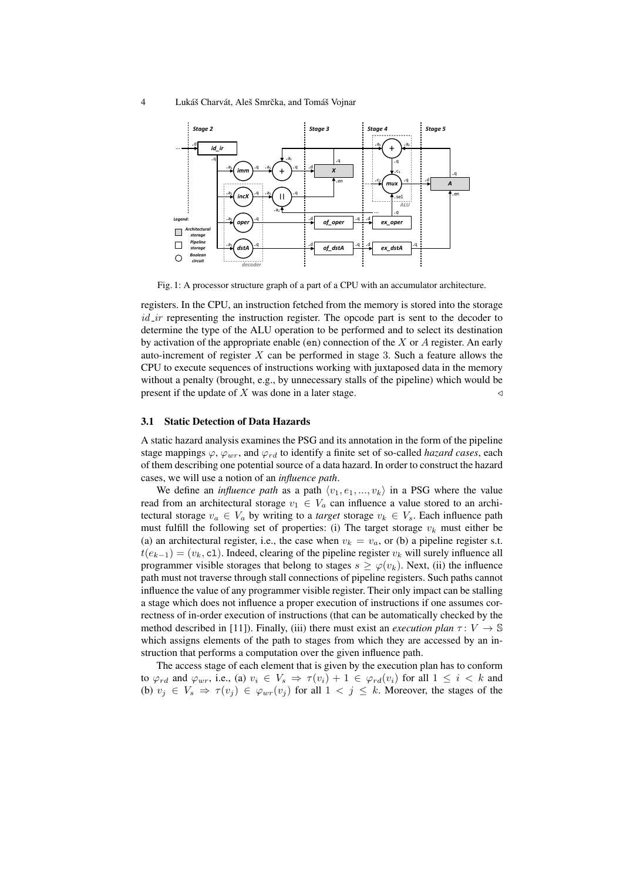

Fig. 1: A processor structure graph of a part of a CPU with an accumulator architecture.

registers. In the CPU, an instruction fetched from the memory is stored into the storage  $id\_ir$  representing the instruction register. The opcode part is sent to the decoder to determine the type of the ALU operation to be performed and to select its destination by activation of the appropriate enable (en) connection of the  $X$  or  $A$  register. An early auto-increment of register  $X$  can be performed in stage 3. Such a feature allows the CPU to execute sequences of instructions working with juxtaposed data in the memory without a penalty (brought, e.g., by unnecessary stalls of the pipeline) which would be present if the update of X was done in a later stage.

#### 3.1 Static Detection of Data Hazards

A static hazard analysis examines the PSG and its annotation in the form of the pipeline stage mappings  $\varphi$ ,  $\varphi_{wr}$ , and  $\varphi_{rd}$  to identify a finite set of so-called *hazard cases*, each of them describing one potential source of a data hazard. In order to construct the hazard cases, we will use a notion of an *influence path*.

We define an *influence path* as a path  $\langle v_1, e_1, ..., v_k \rangle$  in a PSG where the value read from an architectural storage  $v_1 \in V_a$  can influence a value stored to an architectural storage  $v_a \in V_a$  by writing to a *target* storage  $v_k \in V_s$ . Each influence path must fulfill the following set of properties: (i) The target storage  $v_k$  must either be (a) an architectural register, i.e., the case when  $v_k = v_a$ , or (b) a pipeline register s.t.  $t(e_{k-1}) = (v_k, c_1)$ . Indeed, clearing of the pipeline register  $v_k$  will surely influence all programmer visible storages that belong to stages  $s \geq \varphi(v_k)$ . Next, (ii) the influence path must not traverse through stall connections of pipeline registers. Such paths cannot influence the value of any programmer visible register. Their only impact can be stalling a stage which does not influence a proper execution of instructions if one assumes correctness of in-order execution of instructions (that can be automatically checked by the method described in [11]). Finally, (iii) there must exist an *execution plan*  $\tau: V \to \mathbb{S}$ which assigns elements of the path to stages from which they are accessed by an instruction that performs a computation over the given influence path.

The access stage of each element that is given by the execution plan has to conform to  $\varphi_{rd}$  and  $\varphi_{wr}$ , i.e., (a)  $v_i \in V_s \Rightarrow \tau(v_i) + 1 \in \varphi_{rd}(v_i)$  for all  $1 \leq i \leq k$  and (b)  $v_j \in V_s \Rightarrow \tau(v_j) \in \varphi_{wr}(v_j)$  for all  $1 \lt j \leq k$ . Moreover, the stages of the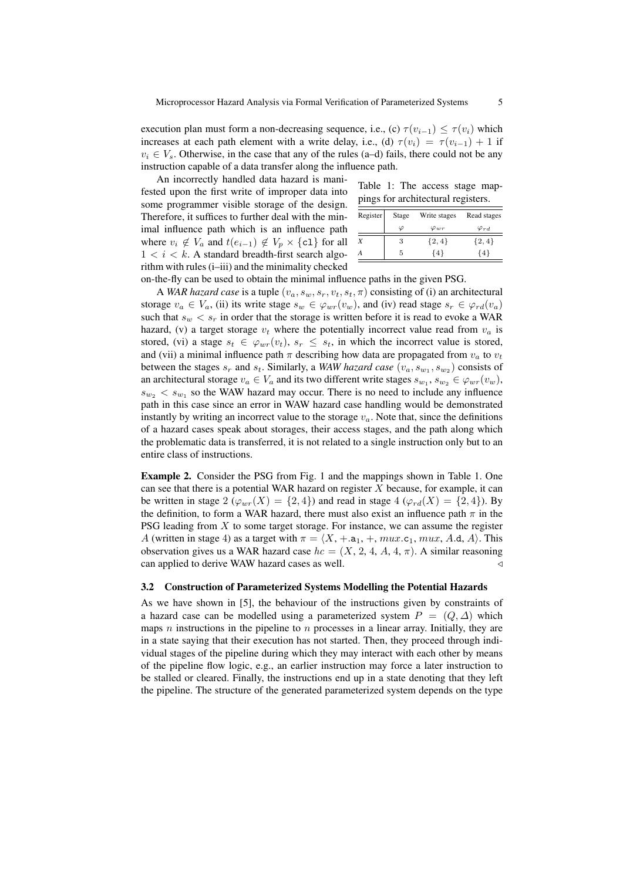execution plan must form a non-decreasing sequence, i.e., (c)  $\tau(v_{i-1}) \leq \tau(v_i)$  which increases at each path element with a write delay, i.e., (d)  $\tau(v_i) = \tau(v_{i-1}) + 1$  if  $v_i \in V_s$ . Otherwise, in the case that any of the rules (a–d) fails, there could not be any instruction capable of a data transfer along the influence path.

An incorrectly handled data hazard is manifested upon the first write of improper data into some programmer visible storage of the design. Therefore, it suffices to further deal with the minimal influence path which is an influence path where  $v_i \notin V_a$  and  $t(e_{i-1}) \notin V_p \times \{c1\}$  for all  $1 < i < k$ . A standard breadth-first search algorithm with rules (i–iii) and the minimality checked

|  | Table 1: The access stage map-     |  |
|--|------------------------------------|--|
|  | pings for architectural registers. |  |

| Register | Stage     | Write stages   | Read stages    |  |
|----------|-----------|----------------|----------------|--|
|          | $\varphi$ | $\varphi_{wr}$ | $\varphi_{rd}$ |  |
| X        | 3         | $\{2,4\}$      | $\{2,4\}$      |  |
| А        | 5         | ${4}$          | {4}            |  |

on-the-fly can be used to obtain the minimal influence paths in the given PSG.

A *WAR hazard case* is a tuple  $(v_a, s_w, s_r, v_t, s_t, \pi)$  consisting of (i) an architectural storage  $v_a \in V_a$ , (ii) its write stage  $s_w \in \varphi_{wr}(v_w)$ , and (iv) read stage  $s_r \in \varphi_{rd}(v_a)$ such that  $s_w < s_r$  in order that the storage is written before it is read to evoke a WAR hazard, (v) a target storage  $v_t$  where the potentially incorrect value read from  $v_a$  is stored, (vi) a stage  $s_t \in \varphi_{wr}(v_t)$ ,  $s_r \leq s_t$ , in which the incorrect value is stored, and (vii) a minimal influence path  $\pi$  describing how data are propagated from  $v_a$  to  $v_t$ between the stages  $s_r$  and  $s_t$ . Similarly, a *WAW hazard case*  $(v_a, s_{w_1}, s_{w_2})$  consists of an architectural storage  $v_a \in V_a$  and its two different write stages  $s_{w_1}, s_{w_2} \in \varphi_{wr}(v_w)$ ,  $s_{w_2} < s_{w_1}$  so the WAW hazard may occur. There is no need to include any influence path in this case since an error in WAW hazard case handling would be demonstrated instantly by writing an incorrect value to the storage  $v_a$ . Note that, since the definitions of a hazard cases speak about storages, their access stages, and the path along which the problematic data is transferred, it is not related to a single instruction only but to an entire class of instructions.

Example 2. Consider the PSG from Fig. 1 and the mappings shown in Table 1. One can see that there is a potential WAR hazard on register  $X$  because, for example, it can be written in stage 2 ( $\varphi_{wr}(X) = \{2, 4\}$ ) and read in stage 4 ( $\varphi_{rd}(X) = \{2, 4\}$ ). By the definition, to form a WAR hazard, there must also exist an influence path  $\pi$  in the PSG leading from  $X$  to some target storage. For instance, we can assume the register A (written in stage 4) as a target with  $\pi = \langle X, +\mathbf{a}_1, +, \text{max.c}_1, \text{max}, A.\mathbf{d}, A \rangle$ . This observation gives us a WAR hazard case  $hc = (X, 2, 4, A, 4, \pi)$ . A similar reasoning can applied to derive WAW hazard cases as well.  $\triangleleft$ 

# 3.2 Construction of Parameterized Systems Modelling the Potential Hazards

As we have shown in [5], the behaviour of the instructions given by constraints of a hazard case can be modelled using a parameterized system  $P = (Q, \Delta)$  which maps  $n$  instructions in the pipeline to  $n$  processes in a linear array. Initially, they are in a state saying that their execution has not started. Then, they proceed through individual stages of the pipeline during which they may interact with each other by means of the pipeline flow logic, e.g., an earlier instruction may force a later instruction to be stalled or cleared. Finally, the instructions end up in a state denoting that they left the pipeline. The structure of the generated parameterized system depends on the type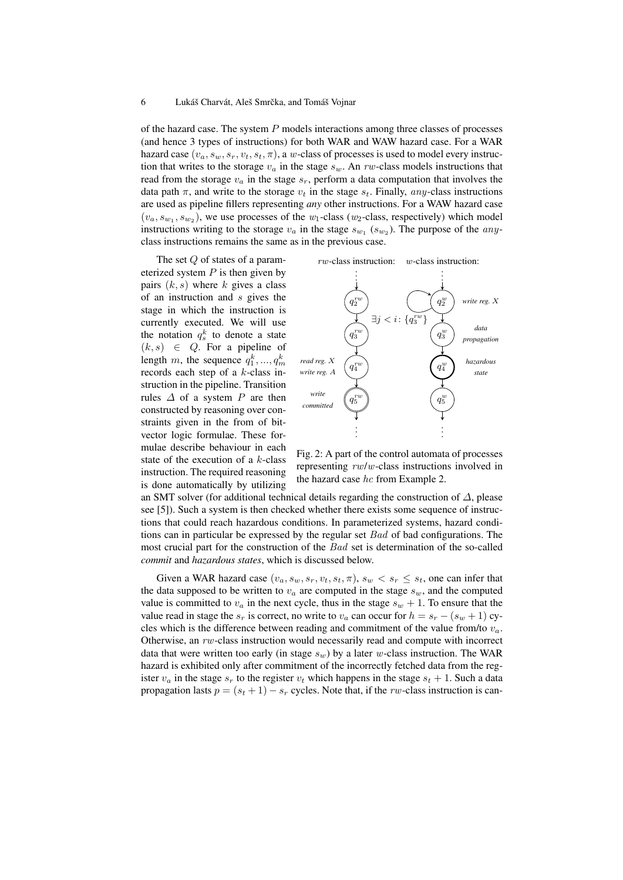of the hazard case. The system P models interactions among three classes of processes (and hence 3 types of instructions) for both WAR and WAW hazard case. For a WAR hazard case  $(v_a, s_w, s_r, v_t, s_t, \pi)$ , a w-class of processes is used to model every instruction that writes to the storage  $v_a$  in the stage  $s_w$ . An rw-class models instructions that read from the storage  $v_a$  in the stage  $s_r$ , perform a data computation that involves the data path  $\pi$ , and write to the storage  $v_t$  in the stage  $s_t$ . Finally, any-class instructions are used as pipeline fillers representing *any* other instructions. For a WAW hazard case  $(v_a, s_{w_1}, s_{w_2})$ , we use processes of the  $w_1$ -class ( $w_2$ -class, respectively) which model instructions writing to the storage  $v_a$  in the stage  $s_{w_1}$  ( $s_{w_2}$ ). The purpose of the *any*class instructions remains the same as in the previous case.

The set Q of states of a parameterized system  $P$  is then given by pairs  $(k, s)$  where k gives a class of an instruction and s gives the stage in which the instruction is currently executed. We will use the notation  $q_s^k$  to denote a state  $(k, s) \in Q$ . For a pipeline of length m, the sequence  $q_1^k, ..., q_m^k$ records each step of a k-class instruction in the pipeline. Transition rules  $\Delta$  of a system P are then constructed by reasoning over constraints given in the from of bitvector logic formulae. These formulae describe behaviour in each state of the execution of a  $k$ -class instruction. The required reasoning is done automatically by utilizing



Fig. 2: A part of the control automata of processes representing  $rw/w$ -class instructions involved in the hazard case  $hc$  from Example 2.

an SMT solver (for additional technical details regarding the construction of  $\Delta$ , please see [5]). Such a system is then checked whether there exists some sequence of instructions that could reach hazardous conditions. In parameterized systems, hazard conditions can in particular be expressed by the regular set Bad of bad configurations. The most crucial part for the construction of the Bad set is determination of the so-called *commit* and *hazardous states*, which is discussed below.

Given a WAR hazard case  $(v_a, s_w, s_r, v_t, s_t, \pi)$ ,  $s_w < s_r \leq s_t$ , one can infer that the data supposed to be written to  $v_a$  are computed in the stage  $s_w$ , and the computed value is committed to  $v_a$  in the next cycle, thus in the stage  $s_w + 1$ . To ensure that the value read in stage the  $s_r$  is correct, no write to  $v_a$  can occur for  $h = s_r - (s_w + 1)$  cycles which is the difference between reading and commitment of the value from/to  $v_a$ . Otherwise, an rw-class instruction would necessarily read and compute with incorrect data that were written too early (in stage  $s_w$ ) by a later w-class instruction. The WAR hazard is exhibited only after commitment of the incorrectly fetched data from the register  $v_a$  in the stage  $s_r$  to the register  $v_t$  which happens in the stage  $s_t + 1$ . Such a data propagation lasts  $p = (s_t + 1) - s_r$  cycles. Note that, if the rw-class instruction is can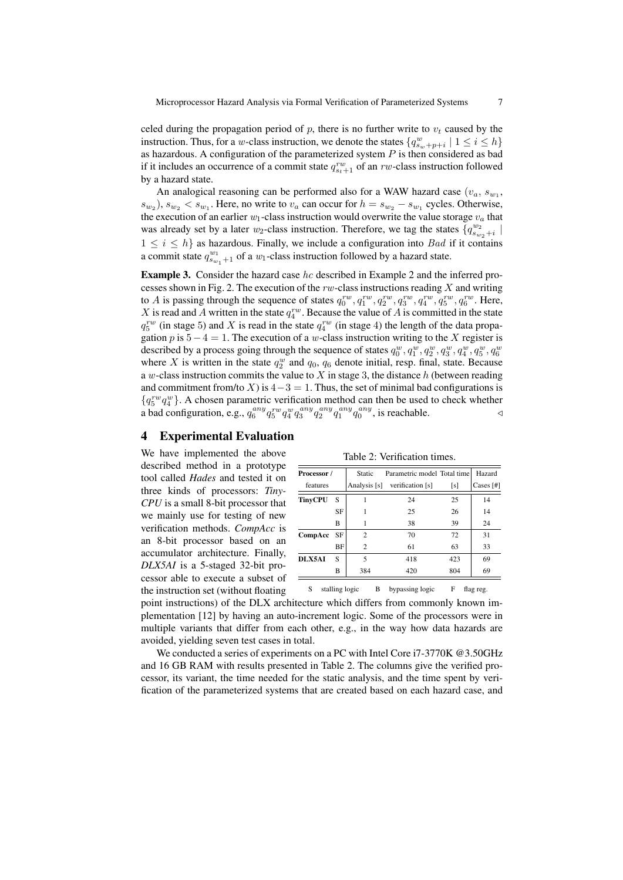celed during the propagation period of p, there is no further write to  $v_t$  caused by the instruction. Thus, for a *w*-class instruction, we denote the states  $\{q_{s_w+p+i}^w \mid 1 \le i \le h\}$ as hazardous. A configuration of the parameterized system  $P$  is then considered as bad if it includes an occurrence of a commit state  $q_{s_t+1}^{\text{rw}}$  of an rw-class instruction followed by a hazard state.

An analogical reasoning can be performed also for a WAW hazard case  $(v_a, s_{w_1},$  $s_{w_2}$ ),  $s_{w_2} < s_{w_1}$ . Here, no write to  $v_a$  can occur for  $h = s_{w_2} - s_{w_1}$  cycles. Otherwise, the execution of an earlier  $w_1$ -class instruction would overwrite the value storage  $v_a$  that was already set by a later  $w_2$ -class instruction. Therefore, we tag the states  $\{q_{s_{w_2}+i}^{w_2}\mid$  $1 \leq i \leq h$  as hazardous. Finally, we include a configuration into *Bad* if it contains a commit state  $q_{s_{w_1}+1}^{w_1}$  of a  $w_1$ -class instruction followed by a hazard state.

Example 3. Consider the hazard case hc described in Example 2 and the inferred processes shown in Fig. 2. The execution of the  $rw$ -class instructions reading X and writing to A is passing through the sequence of states  $q_0^{rw}$ ,  $q_1^{rw}$ ,  $q_2^{rw}$ ,  $q_3^{rw}$ ,  $q_4^{rw}$ ,  $q_5^{rw}$ ,  $q_6^{rw}$ . Here, X is read and A written in the state  $q_4^{rw}$ . Because the value of A is committed in the state  $q_5^{rw}$  (in stage 5) and X is read in the state  $q_4^{rw}$  (in stage 4) the length of the data propagation p is  $5-4=1$ . The execution of a w-class instruction writing to the X register is described by a process going through the sequence of states  $q_0^w, q_1^w, q_2^w, q_3^w, q_4^w, q_5^w, q_6^w$ where X is written in the state  $q_2^w$  and  $q_0$ ,  $q_6$  denote initial, resp. final, state. Because a w-class instruction commits the value to  $X$  in stage 3, the distance  $h$  (between reading and commitment from/to X) is  $4-3=1$ . Thus, the set of minimal bad configurations is  ${q_5^{rw}q_4^w}$ . A chosen parametric verification method can then be used to check whether a bad configuration, e.g.,  $q_6^{any}q_5^{rw}q_4^{w}q_3^{any}q_2^{any}q_1^{any}q_0^{any}$ , is reachable.

# 4 Experimental Evaluation

We have implemented the above described method in a prototype tool called *Hades* and tested it on three kinds of processors: *Tiny-CPU* is a small 8-bit processor that we mainly use for testing of new verification methods. *CompAcc* is an 8-bit processor based on an accumulator architecture. Finally, *DLX5AI* is a 5-staged 32-bit processor able to execute a subset of the instruction set (without floating

Table 2: Verification times.

| Processor /<br>features |           | Static         | Parametric model Total time | [s] | Hazard<br>Cases $[#]$ |
|-------------------------|-----------|----------------|-----------------------------|-----|-----------------------|
|                         |           | Analysis [s]   | verification [s]            |     |                       |
| <b>TinyCPU</b>          | S         |                | 24                          | 25  | 14                    |
|                         | <b>SF</b> |                | 25                          | 26  | 14                    |
|                         | B         |                | 38                          | 39  | 24                    |
| CompAcc                 | SF        | $\mathfrak{D}$ | 70                          | 72  | 31                    |
|                         | <b>BF</b> | $\overline{2}$ | 61                          | 63  | 33                    |
| <b>DLX5AI</b>           | S         | 5              | 418                         | 423 | 69                    |
|                         | B         | 384            | 420                         | 804 | 69                    |

point instructions) of the DLX architecture which differs from commonly known implementation [12] by having an auto-increment logic. Some of the processors were in multiple variants that differ from each other, e.g., in the way how data hazards are avoided, yielding seven test cases in total.

We conducted a series of experiments on a PC with Intel Core i7-3770K @3.50GHz and 16 GB RAM with results presented in Table 2. The columns give the verified processor, its variant, the time needed for the static analysis, and the time spent by verification of the parameterized systems that are created based on each hazard case, and